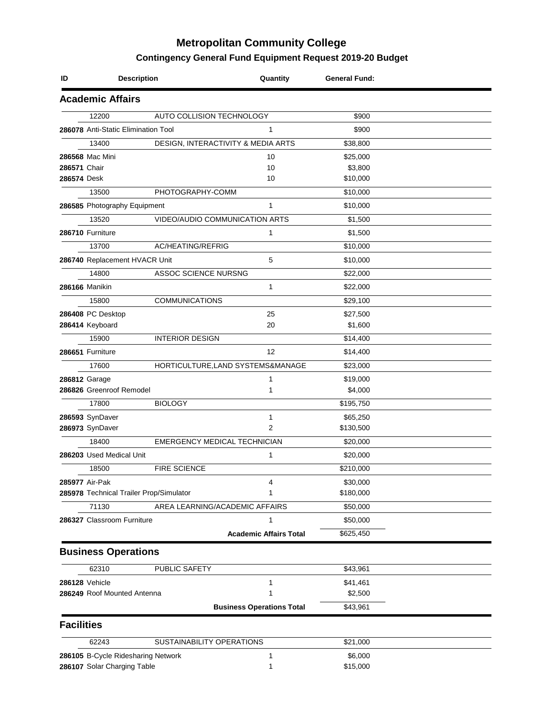## **Metropolitan Community College**

## **Contingency General Fund Equipment Request 2019-20 Budget**

| <b>Description</b><br>ID                |                                | Quantity                            | <b>General Fund:</b>  |  |
|-----------------------------------------|--------------------------------|-------------------------------------|-----------------------|--|
| <b>Academic Affairs</b>                 |                                |                                     |                       |  |
| 12200                                   | AUTO COLLISION TECHNOLOGY      |                                     | \$900                 |  |
| 286078 Anti-Static Elimination Tool     |                                | 1                                   | \$900                 |  |
| 13400                                   |                                | DESIGN, INTERACTIVITY & MEDIA ARTS  | \$38,800              |  |
| 286568 Mac Mini                         |                                | 10                                  | \$25,000              |  |
| 286571 Chair                            |                                | 10                                  | \$3,800               |  |
| 286574 Desk                             |                                | 10                                  | \$10,000              |  |
| 13500                                   | PHOTOGRAPHY-COMM               |                                     | \$10,000              |  |
| 286585 Photography Equipment            |                                | $\mathbf{1}$                        | \$10,000              |  |
| 13520                                   |                                | VIDEO/AUDIO COMMUNICATION ARTS      | \$1,500               |  |
| 286710 Furniture                        |                                | 1                                   | \$1,500               |  |
| 13700                                   | AC/HEATING/REFRIG              |                                     | \$10,000              |  |
| 286740 Replacement HVACR Unit           |                                | 5                                   | \$10,000              |  |
| 14800                                   | ASSOC SCIENCE NURSNG           |                                     | \$22,000              |  |
| 286166 Manikin                          |                                | 1                                   | \$22,000              |  |
| 15800                                   | <b>COMMUNICATIONS</b>          |                                     | \$29,100              |  |
| 286408 PC Desktop                       |                                | 25                                  | \$27,500              |  |
| 286414 Keyboard                         |                                | 20                                  | \$1,600               |  |
| 15900                                   | <b>INTERIOR DESIGN</b>         |                                     | \$14,400              |  |
| 286651 Furniture                        |                                | 12                                  | \$14,400              |  |
| 17600                                   |                                | HORTICULTURE, LAND SYSTEMS&MANAGE   | \$23,000              |  |
| 286812 Garage                           |                                | 1                                   | \$19,000              |  |
| 286826 Greenroof Remodel                |                                | 1                                   | \$4,000               |  |
| 17800                                   | <b>BIOLOGY</b>                 |                                     | \$195,750             |  |
| 286593 SynDaver                         |                                | 1                                   | \$65,250              |  |
| 286973 SynDaver                         |                                | $\overline{2}$                      | \$130,500             |  |
| 18400                                   |                                | <b>EMERGENCY MEDICAL TECHNICIAN</b> | \$20,000              |  |
| 286203 Used Medical Unit                |                                | 1                                   |                       |  |
| 18500                                   | <b>FIRE SCIENCE</b>            |                                     | \$20,000<br>\$210,000 |  |
| 285977 Air-Pak                          |                                | 4                                   | \$30,000              |  |
| 285978 Technical Trailer Prop/Simulator |                                | 1                                   | \$180,000             |  |
| 71130                                   | AREA LEARNING/ACADEMIC AFFAIRS |                                     | \$50,000              |  |
| 286327 Classroom Furniture              |                                | 1                                   | \$50,000              |  |
|                                         |                                | <b>Academic Affairs Total</b>       | \$625,450             |  |
|                                         |                                |                                     |                       |  |
| <b>Business Operations</b>              |                                |                                     |                       |  |
| 62310                                   | PUBLIC SAFETY                  |                                     | \$43,961              |  |
| 286128 Vehicle                          |                                | $\mathbf{1}$                        | \$41,461              |  |
| 286249 Roof Mounted Antenna             |                                | 1                                   | \$2,500               |  |
|                                         |                                | <b>Business Operations Total</b>    | \$43,961              |  |
| <b>Facilities</b>                       |                                |                                     |                       |  |
| 62243                                   | SUSTAINABILITY OPERATIONS      |                                     | \$21,000              |  |
| 286105 B-Cycle Ridesharing Network      |                                | 1                                   | \$6,000               |  |
| 286107 Solar Charging Table             |                                | 1                                   | \$15,000              |  |